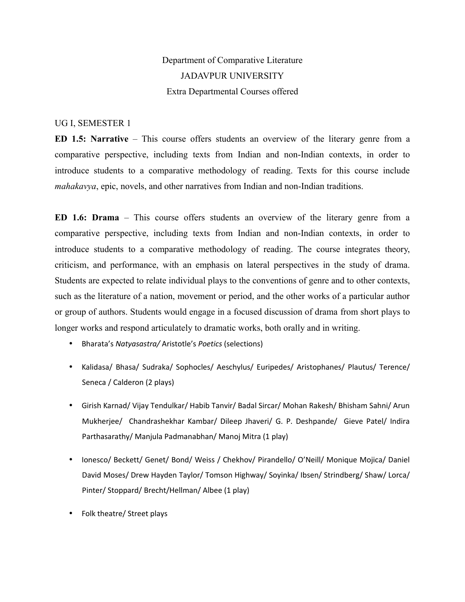# Department of Comparative Literature JADAVPUR UNIVERSITY Extra Departmental Courses offered

## UG I, SEMESTER 1

**ED 1.5: Narrative** – This course offers students an overview of the literary genre from a comparative perspective, including texts from Indian and non-Indian contexts, in order to introduce students to a comparative methodology of reading. Texts for this course include *mahakavya*, epic, novels, and other narratives from Indian and non-Indian traditions.

**ED 1.6: Drama** – This course offers students an overview of the literary genre from a comparative perspective, including texts from Indian and non-Indian contexts, in order to introduce students to a comparative methodology of reading. The course integrates theory, criticism, and performance, with an emphasis on lateral perspectives in the study of drama. Students are expected to relate individual plays to the conventions of genre and to other contexts, such as the literature of a nation, movement or period, and the other works of a particular author or group of authors. Students would engage in a focused discussion of drama from short plays to longer works and respond articulately to dramatic works, both orally and in writing.

- Bharata's *Natyasastra/* Aristotle's *Poetics* (selections)
- Kalidasa/ Bhasa/ Sudraka/ Sophocles/ Aeschylus/ Euripedes/ Aristophanes/ Plautus/ Terence/ Seneca / Calderon (2 plays)
- Girish Karnad/ Vijay Tendulkar/ Habib Tanvir/ Badal Sircar/ Mohan Rakesh/ Bhisham Sahni/ Arun Mukherjee/ Chandrashekhar Kambar/ Dileep Jhaveri/ G. P. Deshpande/ Gieve Patel/ Indira Parthasarathy/ Manjula Padmanabhan/ Manoj Mitra (1 play)
- Ionesco/ Beckett/ Genet/ Bond/ Weiss / Chekhov/ Pirandello/ O'Neill/ Monique Mojica/ Daniel David Moses/ Drew Hayden Taylor/ Tomson Highway/ Soyinka/ Ibsen/ Strindberg/ Shaw/ Lorca/ Pinter/ Stoppard/ Brecht/Hellman/ Albee (1 play)
- Folk theatre/ Street plays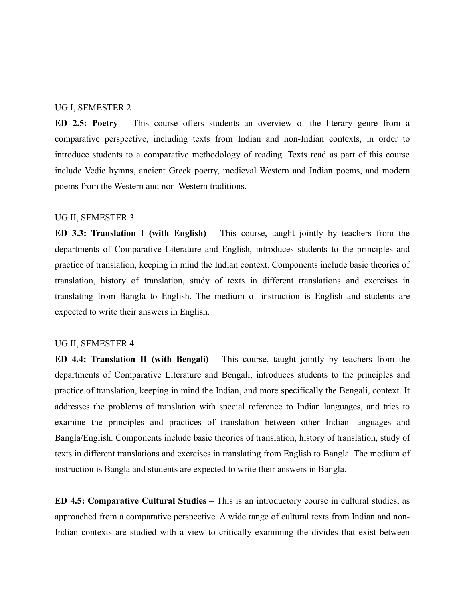### UG I, SEMESTER 2

**ED 2.5: Poetry** – This course offers students an overview of the literary genre from a comparative perspective, including texts from Indian and non-Indian contexts, in order to introduce students to a comparative methodology of reading. Texts read as part of this course include Vedic hymns, ancient Greek poetry, medieval Western and Indian poems, and modern poems from the Western and non-Western traditions.

#### UG II, SEMESTER 3

**ED 3.3: Translation I (with English)** – This course, taught jointly by teachers from the departments of Comparative Literature and English, introduces students to the principles and practice of translation, keeping in mind the Indian context. Components include basic theories of translation, history of translation, study of texts in different translations and exercises in translating from Bangla to English. The medium of instruction is English and students are expected to write their answers in English.

### UG II, SEMESTER 4

**ED 4.4: Translation II (with Bengali)** – This course, taught jointly by teachers from the departments of Comparative Literature and Bengali, introduces students to the principles and practice of translation, keeping in mind the Indian, and more specifically the Bengali, context. It addresses the problems of translation with special reference to Indian languages, and tries to examine the principles and practices of translation between other Indian languages and Bangla/English. Components include basic theories of translation, history of translation, study of texts in different translations and exercises in translating from English to Bangla. The medium of instruction is Bangla and students are expected to write their answers in Bangla.

**ED 4.5: Comparative Cultural Studies** – This is an introductory course in cultural studies, as approached from a comparative perspective. A wide range of cultural texts from Indian and non-Indian contexts are studied with a view to critically examining the divides that exist between